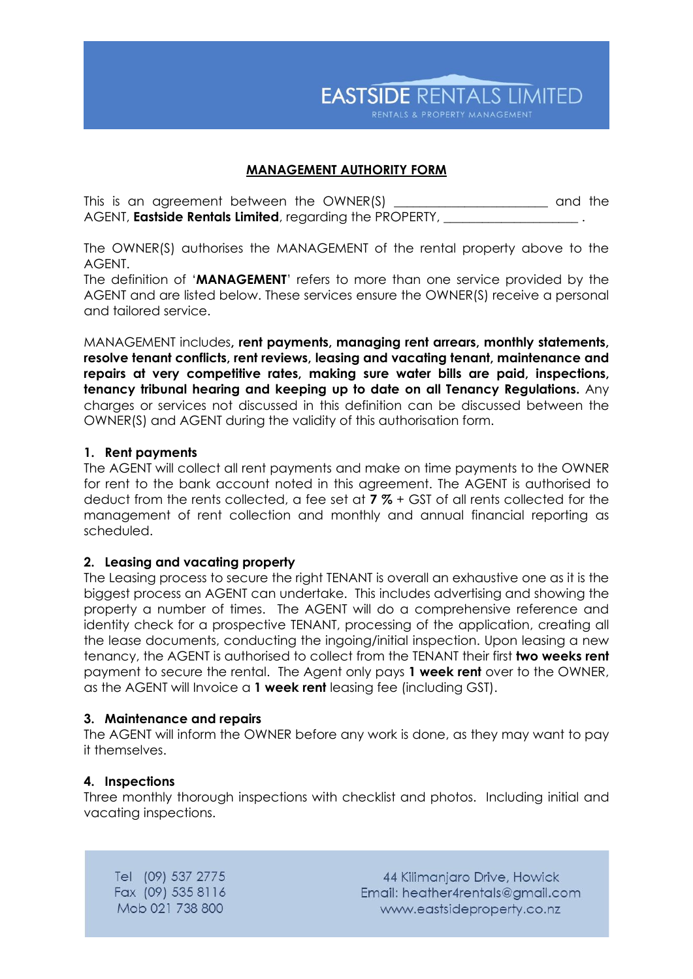**EASTSIDE RENTALS LIMITED** RENTALS & PROPERTY MANAGEMENT

## **MANAGEMENT AUTHORITY FORM**

This is an agreement between the OWNER(S) **\_\_\_\_\_\_\_\_\_\_\_\_\_\_\_\_\_\_\_\_\_\_\_\_** and the AGENT, **Eastside Rentals Limited**, regarding the PROPERTY,

The OWNER(S) authorises the MANAGEMENT of the rental property above to the AGENT.

The definition of '**MANAGEMENT**' refers to more than one service provided by the AGENT and are listed below. These services ensure the OWNER(S) receive a personal and tailored service.

MANAGEMENT includes**, rent payments, managing rent arrears, monthly statements, resolve tenant conflicts, rent reviews, leasing and vacating tenant, maintenance and repairs at very competitive rates, making sure water bills are paid, inspections, tenancy tribunal hearing and keeping up to date on all Tenancy Regulations.** Any charges or services not discussed in this definition can be discussed between the OWNER(S) and AGENT during the validity of this authorisation form.

#### **1. Rent payments**

The AGENT will collect all rent payments and make on time payments to the OWNER for rent to the bank account noted in this agreement. The AGENT is authorised to deduct from the rents collected, a fee set at **7 %** + GST of all rents collected for the management of rent collection and monthly and annual financial reporting as scheduled.

## **2. Leasing and vacating property**

The Leasing process to secure the right TENANT is overall an exhaustive one as it is the biggest process an AGENT can undertake. This includes advertising and showing the property a number of times. The AGENT will do a comprehensive reference and identity check for a prospective TENANT, processing of the application, creating all the lease documents, conducting the ingoing/initial inspection. Upon leasing a new tenancy, the AGENT is authorised to collect from the TENANT their first **two weeks rent** payment to secure the rental. The Agent only pays **1 week rent** over to the OWNER, as the AGENT will Invoice a **1 week rent** leasing fee (including GST).

#### **3. Maintenance and repairs**

The AGENT will inform the OWNER before any work is done, as they may want to pay it themselves.

## **4. Inspections**

Three monthly thorough inspections with checklist and photos. Including initial and vacating inspections.

Tel (09) 537 2775 Fax (09) 535 8116 Mob 021 738 800

44 Kilimanjaro Drive, Howick Email: heather4rentals@gmail.com www.eastsideproperty.co.nz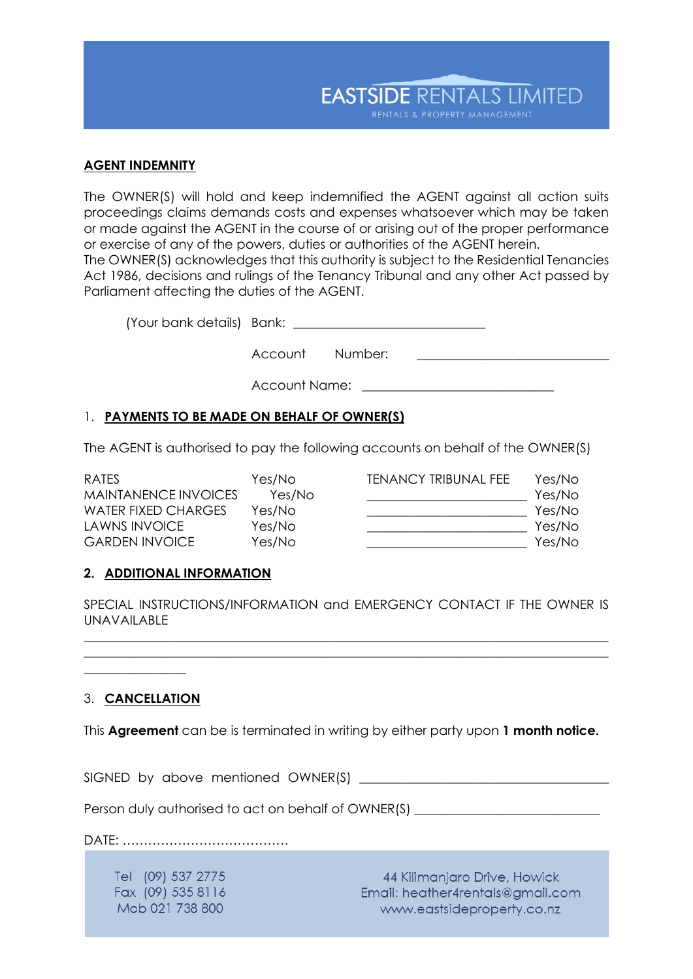

### **AGENT INDEMNITY**

The OWNER(S) will hold and keep indemnified the AGENT against all action suits proceedings claims demands costs and expenses whatsoever which may be taken or made against the AGENT in the course of or arising out of the proper performance or exercise of any of the powers, duties or authorities of the AGENT herein. The OWNER(S) acknowledges that this authority is subject to the Residential Tenancies Act 1986, decisions and rulings of the Tenancy Tribunal and any other Act passed by Parliament affecting the duties of the AGENT.

(Your bank details) Bank: \_\_\_\_\_\_\_\_\_\_\_\_\_\_\_\_\_\_\_\_\_\_\_\_\_\_\_\_\_\_

Account Number:

Account Name: \_\_\_\_\_\_\_\_\_

# 1. **PAYMENTS TO BE MADE ON BEHALF OF OWNER(S)**

The AGENT is authorised to pay the following accounts on behalf of the OWNER(S)

| RATES                 | Yes/No | <b>TENANCY TRIBUNAL FEE</b> | Yes/No |
|-----------------------|--------|-----------------------------|--------|
| MAINTANENCE INVOICES  | Yes/No |                             | Yes/No |
| WATER FIXED CHARGES   | Yes/No |                             | Yes/No |
| LAWNS INVOICE         | Yes/No |                             | Yes/No |
| <b>GARDEN INVOICE</b> | Yes/No |                             | Yes/No |

## **2. ADDITIONAL INFORMATION**

SPECIAL INSTRUCTIONS/INFORMATION and EMERGENCY CONTACT IF THE OWNER IS UNAVAILABLE

\_\_\_\_\_\_\_\_\_\_\_\_\_\_\_\_\_\_\_\_\_\_\_\_\_\_\_\_\_\_\_\_\_\_\_\_\_\_\_\_\_\_\_\_\_\_\_\_\_\_\_\_\_\_\_\_\_\_\_\_\_\_\_\_\_\_\_\_\_\_\_\_\_\_\_\_\_\_\_\_\_\_ \_\_\_\_\_\_\_\_\_\_\_\_\_\_\_\_\_\_\_\_\_\_\_\_\_\_\_\_\_\_\_\_\_\_\_\_\_\_\_\_\_\_\_\_\_\_\_\_\_\_\_\_\_\_\_\_\_\_\_\_\_\_\_\_\_\_\_\_\_\_\_\_\_\_\_\_\_\_\_\_\_\_

# 3. **CANCELLATION**

 $\overline{\phantom{a}}$  , where  $\overline{\phantom{a}}$ 

This **Agreement** can be is terminated in writing by either party upon **1 month notice.**

SIGNED by above mentioned OWNER(S) \_\_\_\_\_\_\_\_\_\_\_\_\_\_\_\_\_\_\_\_\_\_\_\_\_\_\_\_\_\_\_\_\_\_\_\_\_\_\_

Person duly authorised to act on behalf of OWNER(S) \_\_\_\_\_\_\_\_\_\_\_\_\_\_\_\_\_\_\_\_\_\_\_\_\_\_\_\_

DATE: …………………………………

Tel (09) 537 2775 Fax (09) 535 8116 Mob 021 738 800

44 Kilimanjaro Drive, Howick Email: heather4rentals@gmail.com www.eastsideproperty.co.nz